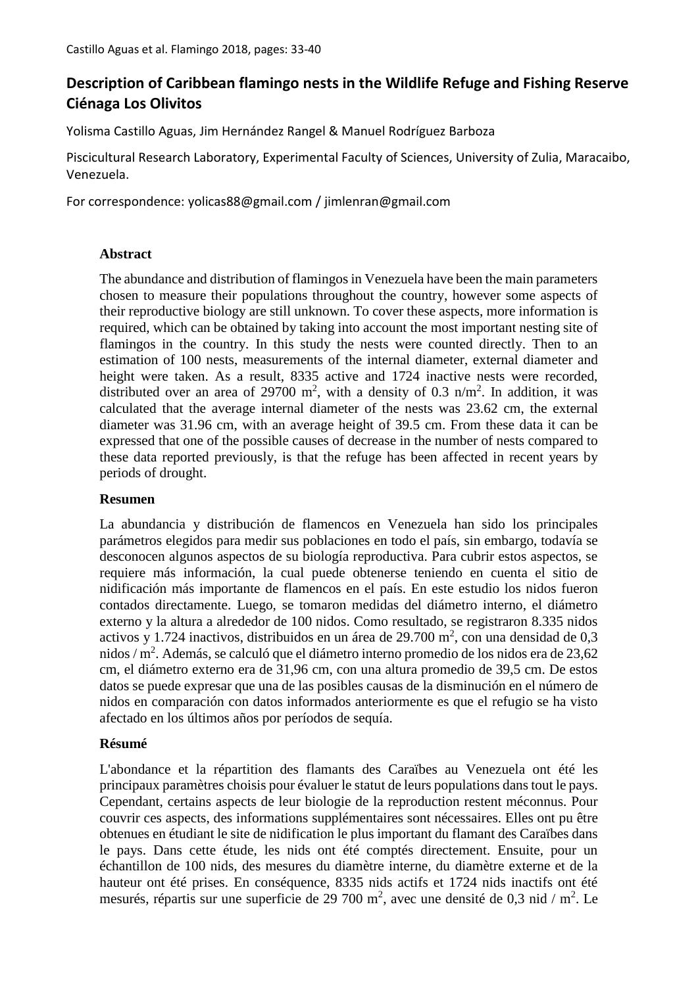# **Description of Caribbean flamingo nests in the Wildlife Refuge and Fishing Reserve Ciénaga Los Olivitos**

Yolisma Castillo Aguas, Jim Hernández Rangel & Manuel Rodríguez Barboza

Piscicultural Research Laboratory, Experimental Faculty of Sciences, University of Zulia, Maracaibo, Venezuela.

For correspondence: yolicas88@gmail.com / jimlenran@gmail.com

# **Abstract**

The abundance and distribution of flamingos in Venezuela have been the main parameters chosen to measure their populations throughout the country, however some aspects of their reproductive biology are still unknown. To cover these aspects, more information is required, which can be obtained by taking into account the most important nesting site of flamingos in the country. In this study the nests were counted directly. Then to an estimation of 100 nests, measurements of the internal diameter, external diameter and height were taken. As a result, 8335 active and 1724 inactive nests were recorded, distributed over an area of 29700 m<sup>2</sup>, with a density of 0.3 n/m<sup>2</sup>. In addition, it was calculated that the average internal diameter of the nests was 23.62 cm, the external diameter was 31.96 cm, with an average height of 39.5 cm. From these data it can be expressed that one of the possible causes of decrease in the number of nests compared to these data reported previously, is that the refuge has been affected in recent years by periods of drought.

# **Resumen**

La abundancia y distribución de flamencos en Venezuela han sido los principales parámetros elegidos para medir sus poblaciones en todo el país, sin embargo, todavía se desconocen algunos aspectos de su biología reproductiva. Para cubrir estos aspectos, se requiere más información, la cual puede obtenerse teniendo en cuenta el sitio de nidificación más importante de flamencos en el país. En este estudio los nidos fueron contados directamente. Luego, se tomaron medidas del diámetro interno, el diámetro externo y la altura a alrededor de 100 nidos. Como resultado, se registraron 8.335 nidos activos y 1.724 inactivos, distribuidos en un área de 29.700 m<sup>2</sup>, con una densidad de 0,3 nidos / m<sup>2</sup>. Además, se calculó que el diámetro interno promedio de los nidos era de 23,62 cm, el diámetro externo era de 31,96 cm, con una altura promedio de 39,5 cm. De estos datos se puede expresar que una de las posibles causas de la disminución en el número de nidos en comparación con datos informados anteriormente es que el refugio se ha visto afectado en los últimos años por períodos de sequía.

# **Résumé**

L'abondance et la répartition des flamants des Caraïbes au Venezuela ont été les principaux paramètres choisis pour évaluer le statut de leurs populations dans tout le pays. Cependant, certains aspects de leur biologie de la reproduction restent méconnus. Pour couvrir ces aspects, des informations supplémentaires sont nécessaires. Elles ont pu être obtenues en étudiant le site de nidification le plus important du flamant des Caraïbes dans le pays. Dans cette étude, les nids ont été comptés directement. Ensuite, pour un échantillon de 100 nids, des mesures du diamètre interne, du diamètre externe et de la hauteur ont été prises. En conséquence, 8335 nids actifs et 1724 nids inactifs ont été mesurés, répartis sur une superficie de 29 700 m<sup>2</sup>, avec une densité de 0,3 nid / m<sup>2</sup>. Le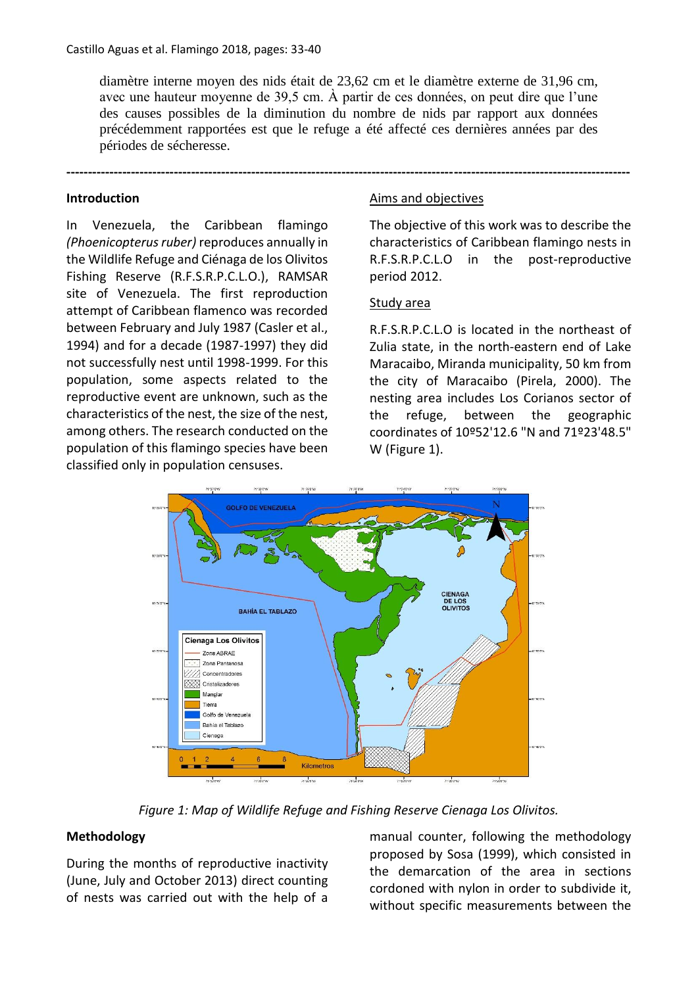diamètre interne moyen des nids était de 23,62 cm et le diamètre externe de 31,96 cm, avec une hauteur moyenne de 39,5 cm. À partir de ces données, on peut dire que l'une des causes possibles de la diminution du nombre de nids par rapport aux données précédemment rapportées est que le refuge a été affecté ces dernières années par des périodes de sécheresse.

**-----------------------------------------------------------------------------------------------------------------------------------**

## **Introduction**

In Venezuela, the Caribbean flamingo *(Phoenicopterus ruber)* reproduces annually in the Wildlife Refuge and Ciénaga de los Olivitos Fishing Reserve (R.F.S.R.P.C.L.O.), RAMSAR site of Venezuela. The first reproduction attempt of Caribbean flamenco was recorded between February and July 1987 (Casler et al., 1994) and for a decade (1987-1997) they did not successfully nest until 1998-1999. For this population, some aspects related to the reproductive event are unknown, such as the characteristics of the nest, the size of the nest, among others. The research conducted on the population of this flamingo species have been classified only in population censuses.

### Aims and objectives

The objective of this work was to describe the characteristics of Caribbean flamingo nests in R.F.S.R.P.C.L.O in the post-reproductive period 2012.

### Study area

R.F.S.R.P.C.L.O is located in the northeast of Zulia state, in the north-eastern end of Lake Maracaibo, Miranda municipality, 50 km from the city of Maracaibo (Pirela, 2000). The nesting area includes Los Corianos sector of the refuge, between the geographic coordinates of 10º52'12.6 "N and 71º23'48.5" W (Figure 1).



*Figure 1: Map of Wildlife Refuge and Fishing Reserve Cienaga Los Olivitos.*

# **Methodology**

During the months of reproductive inactivity (June, July and October 2013) direct counting of nests was carried out with the help of a

manual counter, following the methodology proposed by Sosa (1999), which consisted in the demarcation of the area in sections cordoned with nylon in order to subdivide it, without specific measurements between the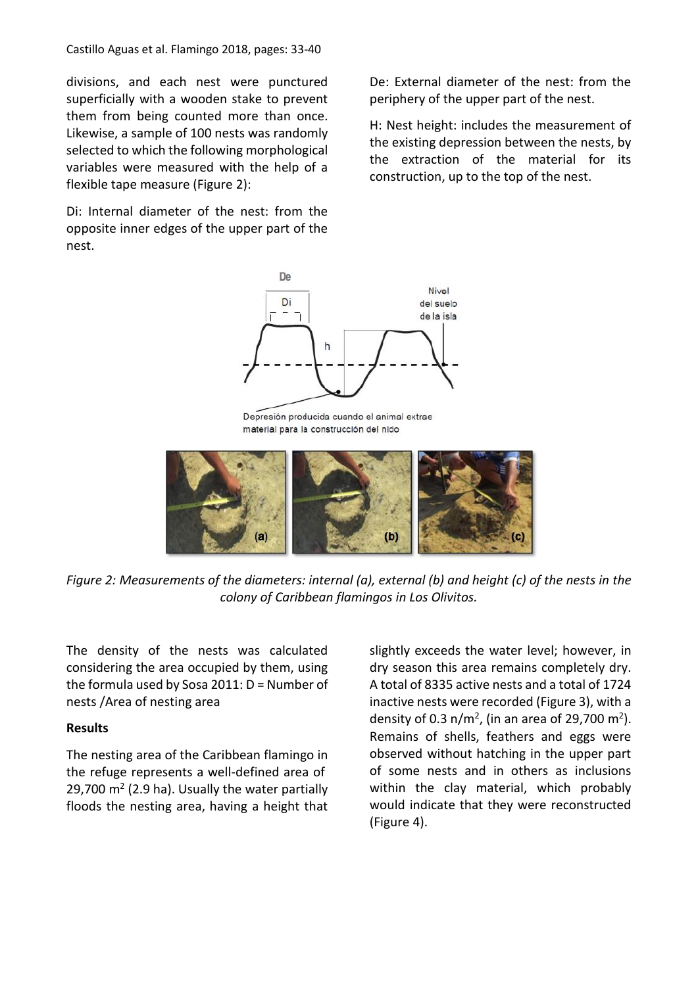Castillo Aguas et al. Flamingo 2018, pages: 33-40

divisions, and each nest were punctured superficially with a wooden stake to prevent them from being counted more than once. Likewise, a sample of 100 nests was randomly selected to which the following morphological variables were measured with the help of a flexible tape measure (Figure 2):

Di: Internal diameter of the nest: from the opposite inner edges of the upper part of the nest.

De: External diameter of the nest: from the periphery of the upper part of the nest.

H: Nest height: includes the measurement of the existing depression between the nests, by the extraction of the material for its construction, up to the top of the nest.



Depresión producida cuando el animal extrae material para la construcción del nido



*Figure 2: Measurements of the diameters: internal (a), external (b) and height (c) of the nests in the colony of Caribbean flamingos in Los Olivitos.*

The density of the nests was calculated considering the area occupied by them, using the formula used by Sosa 2011: D = Number of nests /Area of nesting area

### **Results**

The nesting area of the Caribbean flamingo in the refuge represents a well-defined area of  $29,700$  m<sup>2</sup> (2.9 ha). Usually the water partially floods the nesting area, having a height that slightly exceeds the water level; however, in dry season this area remains completely dry. A total of 8335 active nests and a total of 1724 inactive nests were recorded (Figure 3), with a density of 0.3  $n/m^2$ , (in an area of 29,700 m<sup>2</sup>). Remains of shells, feathers and eggs were observed without hatching in the upper part of some nests and in others as inclusions within the clay material, which probably would indicate that they were reconstructed (Figure 4).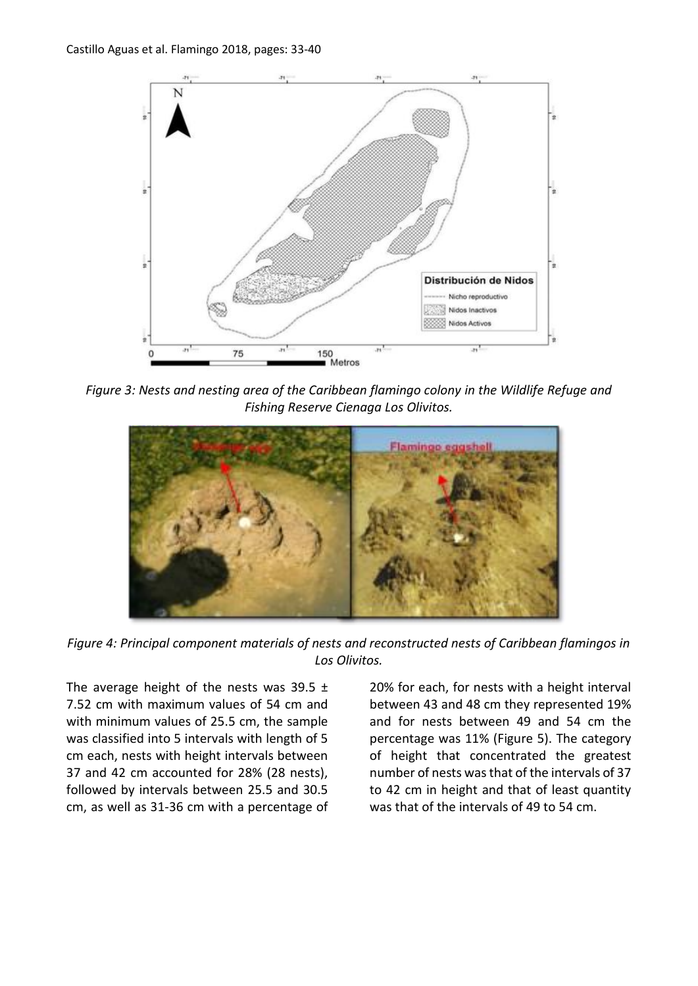

*Figure 3: Nests and nesting area of the Caribbean flamingo colony in the Wildlife Refuge and Fishing Reserve Cienaga Los Olivitos.*



*Figure 4: Principal component materials of nests and reconstructed nests of Caribbean flamingos in Los Olivitos.*

The average height of the nests was 39.5  $\pm$ 7.52 cm with maximum values of 54 cm and with minimum values of 25.5 cm, the sample was classified into 5 intervals with length of 5 cm each, nests with height intervals between 37 and 42 cm accounted for 28% (28 nests), followed by intervals between 25.5 and 30.5 cm, as well as 31-36 cm with a percentage of

20% for each, for nests with a height interval between 43 and 48 cm they represented 19% and for nests between 49 and 54 cm the percentage was 11% (Figure 5). The category of height that concentrated the greatest number of nests was that of the intervals of 37 to 42 cm in height and that of least quantity was that of the intervals of 49 to 54 cm.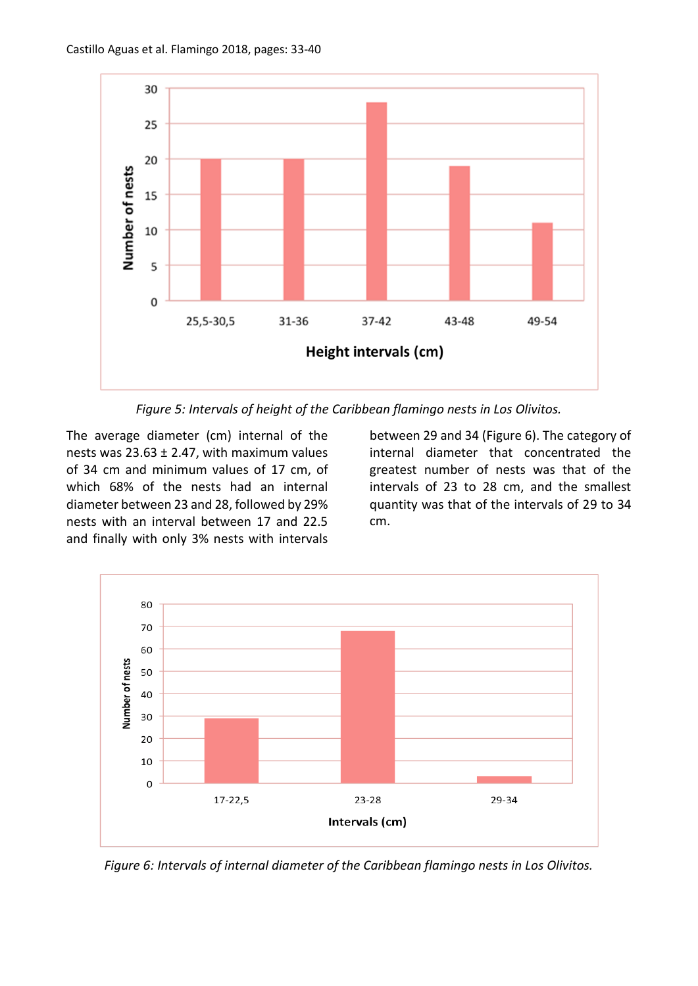

*Figure 5: Intervals of height of the Caribbean flamingo nests in Los Olivitos.*

The average diameter (cm) internal of the nests was  $23.63 \pm 2.47$ , with maximum values of 34 cm and minimum values of 17 cm, of which 68% of the nests had an internal diameter between 23 and 28, followed by 29% nests with an interval between 17 and 22.5 and finally with only 3% nests with intervals

between 29 and 34 (Figure 6). The category of internal diameter that concentrated the greatest number of nests was that of the intervals of 23 to 28 cm, and the smallest quantity was that of the intervals of 29 to 34 cm.



*Figure 6: Intervals of internal diameter of the Caribbean flamingo nests in Los Olivitos.*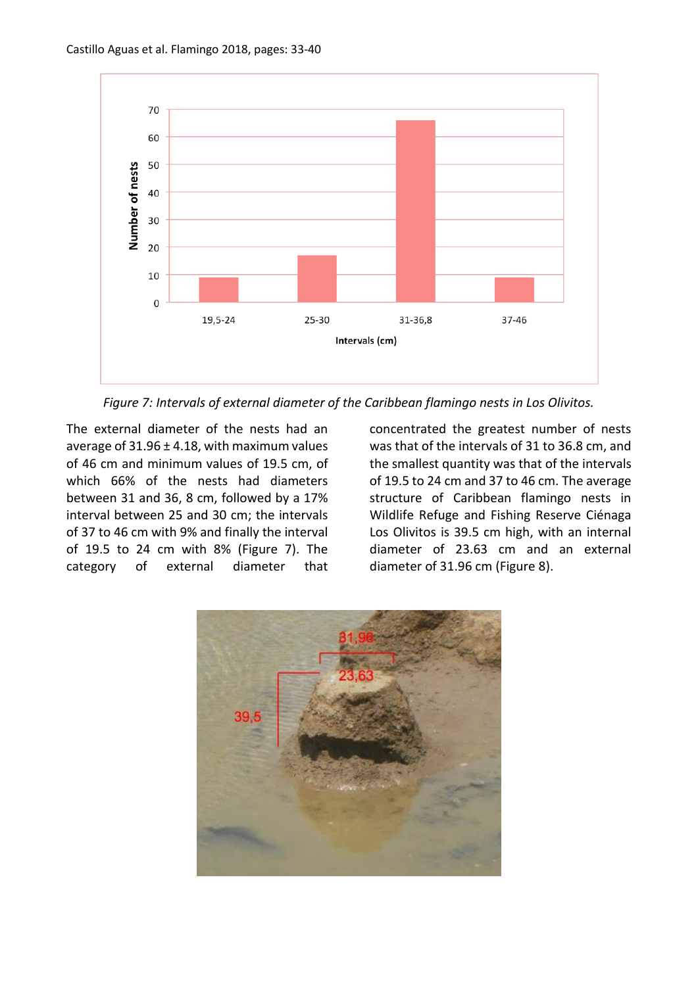

*Figure 7: Intervals of external diameter of the Caribbean flamingo nests in Los Olivitos.*

The external diameter of the nests had an average of  $31.96 \pm 4.18$ , with maximum values of 46 cm and minimum values of 19.5 cm, of which 66% of the nests had diameters between 31 and 36, 8 cm, followed by a 17% interval between 25 and 30 cm; the intervals of 37 to 46 cm with 9% and finally the interval of 19.5 to 24 cm with 8% (Figure 7). The category of external diameter that concentrated the greatest number of nests was that of the intervals of 31 to 36.8 cm, and the smallest quantity was that of the intervals of 19.5 to 24 cm and 37 to 46 cm. The average structure of Caribbean flamingo nests in Wildlife Refuge and Fishing Reserve Ciénaga Los Olivitos is 39.5 cm high, with an internal diameter of 23.63 cm and an external diameter of 31.96 cm (Figure 8).

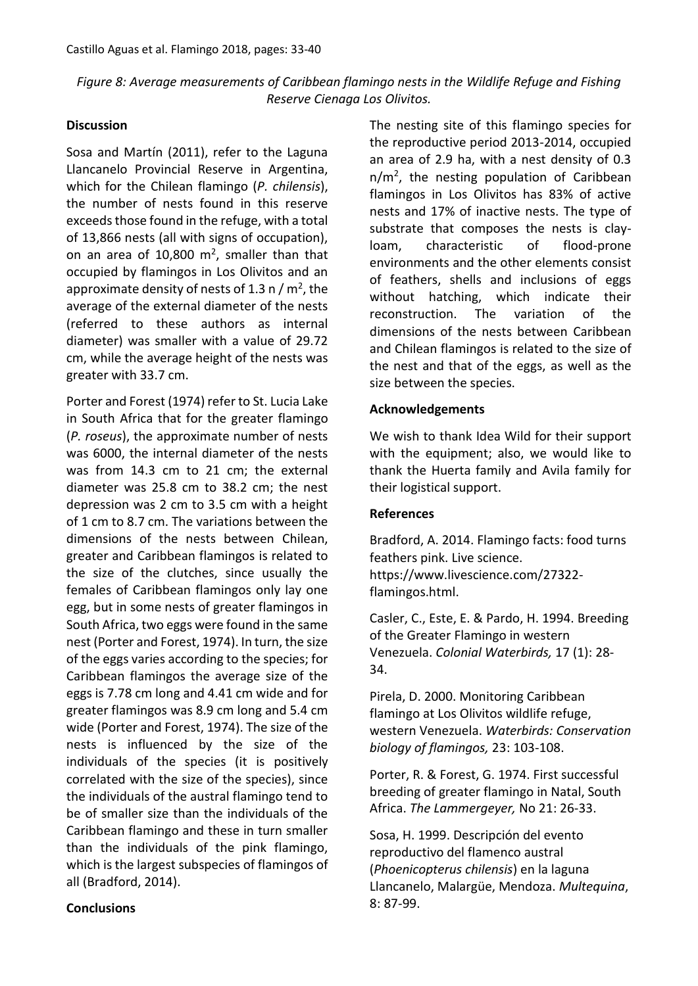# *Figure 8: Average measurements of Caribbean flamingo nests in the Wildlife Refuge and Fishing Reserve Cienaga Los Olivitos.*

#### **Discussion**

Sosa and Martín (2011), refer to the Laguna Llancanelo Provincial Reserve in Argentina, which for the Chilean flamingo (*P. chilensis*), the number of nests found in this reserve exceeds those found in the refuge, with a total of 13,866 nests (all with signs of occupation), on an area of  $10,800 \text{ m}^2$ , smaller than that occupied by flamingos in Los Olivitos and an approximate density of nests of 1.3 n /  $m<sup>2</sup>$ , the average of the external diameter of the nests (referred to these authors as internal diameter) was smaller with a value of 29.72 cm, while the average height of the nests was greater with 33.7 cm.

Porter and Forest (1974) refer to St. Lucia Lake in South Africa that for the greater flamingo (*P. roseus*), the approximate number of nests was 6000, the internal diameter of the nests was from 14.3 cm to 21 cm; the external diameter was 25.8 cm to 38.2 cm; the nest depression was 2 cm to 3.5 cm with a height of 1 cm to 8.7 cm. The variations between the dimensions of the nests between Chilean, greater and Caribbean flamingos is related to the size of the clutches, since usually the females of Caribbean flamingos only lay one egg, but in some nests of greater flamingos in South Africa, two eggs were found in the same nest (Porter and Forest, 1974). In turn, the size of the eggs varies according to the species; for Caribbean flamingos the average size of the eggs is 7.78 cm long and 4.41 cm wide and for greater flamingos was 8.9 cm long and 5.4 cm wide (Porter and Forest, 1974). The size of the nests is influenced by the size of the individuals of the species (it is positively correlated with the size of the species), since the individuals of the austral flamingo tend to be of smaller size than the individuals of the Caribbean flamingo and these in turn smaller than the individuals of the pink flamingo, which is the largest subspecies of flamingos of all (Bradford, 2014).

The nesting site of this flamingo species for the reproductive period 2013-2014, occupied an area of 2.9 ha, with a nest density of 0.3 n/m<sup>2</sup>, the nesting population of Caribbean flamingos in Los Olivitos has 83% of active nests and 17% of inactive nests. The type of substrate that composes the nests is clayloam, characteristic of flood-prone environments and the other elements consist of feathers, shells and inclusions of eggs without hatching, which indicate their reconstruction. The variation of the dimensions of the nests between Caribbean and Chilean flamingos is related to the size of the nest and that of the eggs, as well as the size between the species.

### **Acknowledgements**

We wish to thank Idea Wild for their support with the equipment; also, we would like to thank the Huerta family and Avila family for their logistical support.

### **References**

Bradford, A. 2014. Flamingo facts: food turns feathers pink. Live science. https://www.livescience.com/27322 flamingos.html.

Casler, C., Este, E. & Pardo, H. 1994. Breeding of the Greater Flamingo in western Venezuela. *Colonial Waterbirds,* 17 (1): 28- 34.

Pirela, D. 2000. Monitoring Caribbean flamingo at Los Olivitos wildlife refuge, western Venezuela. *Waterbirds: Conservation biology of flamingos,* 23: 103-108.

Porter, R. & Forest, G. 1974. First successful breeding of greater flamingo in Natal, South Africa. *The Lammergeyer,* No 21: 26-33.

Sosa, H. 1999. Descripción del evento reproductivo del flamenco austral (*Phoenicopterus chilensis*) en la laguna Llancanelo, Malargüe, Mendoza. *Multequina*, 8: 87-99.

### **Conclusions**